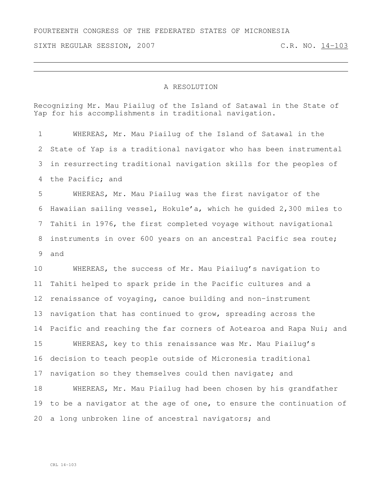## FOURTEENTH CONGRESS OF THE FEDERATED STATES OF MICRONESIA

SIXTH REGULAR SESSION, 2007 C.R. NO. 14-103

## A RESOLUTION

Recognizing Mr. Mau Piailug of the Island of Satawal in the State of Yap for his accomplishments in traditional navigation.

 WHEREAS, Mr. Mau Piailug of the Island of Satawal in the State of Yap is a traditional navigator who has been instrumental in resurrecting traditional navigation skills for the peoples of the Pacific; and

 WHEREAS, Mr. Mau Piailug was the first navigator of the Hawaiian sailing vessel, Hokule'a, which he guided 2,300 miles to Tahiti in 1976, the first completed voyage without navigational instruments in over 600 years on an ancestral Pacific sea route; and

 WHEREAS, the success of Mr. Mau Piailug's navigation to Tahiti helped to spark pride in the Pacific cultures and a renaissance of voyaging, canoe building and non-instrument navigation that has continued to grow, spreading across the 14 Pacific and reaching the far corners of Aotearoa and Rapa Nui; and

 WHEREAS, key to this renaissance was Mr. Mau Piailug's decision to teach people outside of Micronesia traditional navigation so they themselves could then navigate; and

 WHEREAS, Mr. Mau Piailug had been chosen by his grandfather to be a navigator at the age of one, to ensure the continuation of a long unbroken line of ancestral navigators; and